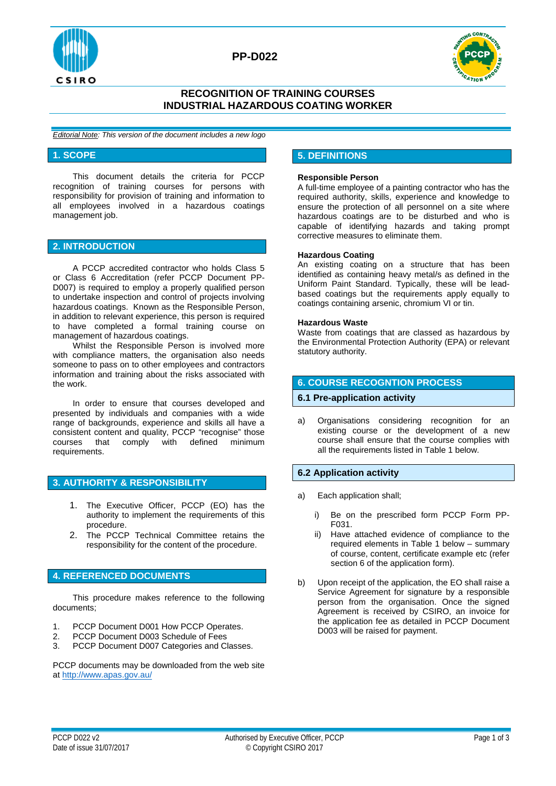



## **RECOGNITION OF TRAINING COURSES INDUSTRIAL HAZARDOUS COATING WORKER**

*Editorial Note: This version of the document includes a new logo*

#### **1. SCOPE**

This document details the criteria for PCCP recognition of training courses for persons with responsibility for provision of training and information to all employees involved in a hazardous coatings management job.

## **2. INTRODUCTION**

A PCCP accredited contractor who holds Class 5 or Class 6 Accreditation (refer PCCP Document PP-D007) is required to employ a properly qualified person to undertake inspection and control of projects involving hazardous coatings. Known as the Responsible Person, in addition to relevant experience, this person is required to have completed a formal training course on management of hazardous coatings.

Whilst the Responsible Person is involved more with compliance matters, the organisation also needs someone to pass on to other employees and contractors information and training about the risks associated with the work.

In order to ensure that courses developed and presented by individuals and companies with a wide range of backgrounds, experience and skills all have a consistent content and quality, PCCP "recognise" those courses that comply with defined minimum requirements.

### **3. AUTHORITY & RESPONSIBILITY**

- 1. The Executive Officer, PCCP (EO) has the authority to implement the requirements of this procedure.
- 2. The PCCP Technical Committee retains the responsibility for the content of the procedure.

## **4. REFERENCED DOCUMENTS**

This procedure makes reference to the following documents;

- 1. PCCP Document D001 How PCCP Operates.
- 2. PCCP Document D003 Schedule of Fees
- 3. PCCP Document D007 Categories and Classes.

PCCP documents may be downloaded from the web site a[t http://www.apas.gov.au/](http://www.apas.gov.au/)

### **5. DEFINITIONS**

#### **Responsible Person**

A full-time employee of a painting contractor who has the required authority, skills, experience and knowledge to ensure the protection of all personnel on a site where hazardous coatings are to be disturbed and who is capable of identifying hazards and taking prompt corrective measures to eliminate them.

#### **Hazardous Coating**

An existing coating on a structure that has been identified as containing heavy metal/s as defined in the Uniform Paint Standard. Typically, these will be leadbased coatings but the requirements apply equally to coatings containing arsenic, chromium VI or tin.

#### **Hazardous Waste**

Waste from coatings that are classed as hazardous by the Environmental Protection Authority (EPA) or relevant statutory authority.

### **6. COURSE RECOGNTION PROCESS**

#### **6.1 Pre-application activity**

a) Organisations considering recognition for an existing course or the development of a new course shall ensure that the course complies with all the requirements listed in Table 1 below.

### **6.2 Application activity**

- a) Each application shall;
	- i) Be on the prescribed form PCCP Form PP-F031.
	- ii) Have attached evidence of compliance to the required elements in Table 1 below – summary of course, content, certificate example etc (refer section 6 of the application form).
- b) Upon receipt of the application, the EO shall raise a Service Agreement for signature by a responsible person from the organisation. Once the signed Agreement is received by CSIRO, an invoice for the application fee as detailed in PCCP Document D003 will be raised for payment.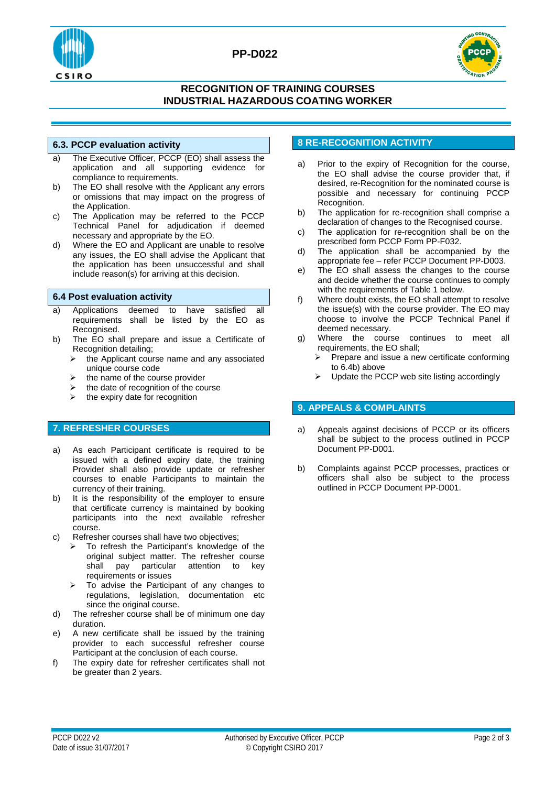

## **PP-D022**



## **RECOGNITION OF TRAINING COURSES INDUSTRIAL HAZARDOUS COATING WORKER**

## **6.3. PCCP evaluation activity**

- a) The Executive Officer, PCCP (EO) shall assess the application and all supporting evidence for compliance to requirements.
- b) The EO shall resolve with the Applicant any errors or omissions that may impact on the progress of the Application.
- c) The Application may be referred to the PCCP Technical Panel for adjudication if deemed necessary and appropriate by the EO.
- d) Where the EO and Applicant are unable to resolve any issues, the EO shall advise the Applicant that the application has been unsuccessful and shall include reason(s) for arriving at this decision.

### **6.4 Post evaluation activity**

- a) Applications deemed to have satisfied all requirements shall be listed by the EO as Recognised.
- b) The EO shall prepare and issue a Certificate of Recognition detailing;
	- $\triangleright$  the Applicant course name and any associated unique course code
	- $\triangleright$  the name of the course provider
	- the date of recognition of the course
	- $\triangleright$  the expiry date for recognition

## **7. REFRESHER COURSES**

- a) As each Participant certificate is required to be issued with a defined expiry date, the training Provider shall also provide update or refresher courses to enable Participants to maintain the currency of their training.
- b) It is the responsibility of the employer to ensure that certificate currency is maintained by booking participants into the next available refresher course.
- c) Refresher courses shall have two objectives;
	- $\triangleright$  To refresh the Participant's knowledge of the original subject matter. The refresher course<br>shall pay particular attention to key particular attention to key requirements or issues
	- $\triangleright$  To advise the Participant of any changes to regulations, legislation, documentation etc since the original course.
- d) The refresher course shall be of minimum one day duration.
- e) A new certificate shall be issued by the training provider to each successful refresher course Participant at the conclusion of each course.
- f) The expiry date for refresher certificates shall not be greater than 2 years.

## **8 RE-RECOGNITION ACTIVITY**

- a) Prior to the expiry of Recognition for the course, the EO shall advise the course provider that, if desired, re-Recognition for the nominated course is possible and necessary for continuing PCCP Recognition.
- b) The application for re-recognition shall comprise a declaration of changes to the Recognised course.
- c) The application for re-recognition shall be on the prescribed form PCCP Form PP-F032.
- d) The application shall be accompanied by the appropriate fee – refer PCCP Document PP-D003.
- e) The EO shall assess the changes to the course and decide whether the course continues to comply with the requirements of Table 1 below.
- f) Where doubt exists, the EO shall attempt to resolve the issue(s) with the course provider. The EO may choose to involve the PCCP Technical Panel if deemed necessary.
- g) Where the course continues to meet all requirements, the EO shall;<br>> Prepare and issue a ne
	- Prepare and issue a new certificate conforming to 6.4b) above
	- Update the PCCP web site listing accordingly

## **9. APPEALS & COMPLAINTS**

- a) Appeals against decisions of PCCP or its officers shall be subject to the process outlined in PCCP Document PP-D001.
- b) Complaints against PCCP processes, practices or officers shall also be subject to the process outlined in PCCP Document PP-D001.